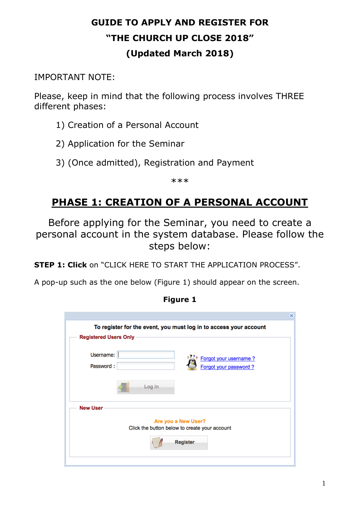# **GUIDE TO APPLY AND REGISTER FOR "THE CHURCH UP CLOSE 2018" (Updated March 2018)**

### IMPORTANT NOTE:

Please, keep in mind that the following process involves THREE different phases:

- 1) Creation of a Personal Account
- 2) Application for the Seminar
- 3) (Once admitted), Registration and Payment

\*\*\*

# **PHASE 1: CREATION OF A PERSONAL ACCOUNT**

Before applying for the Seminar, you need to create a personal account in the system database. Please follow the steps below:

**STEP 1: Click** on "CLICK HERE TO START THE APPLICATION PROCESS".

A pop-up such as the one below (Figure 1) should appear on the screen.

|                                                                          | × |
|--------------------------------------------------------------------------|---|
| To register for the event, you must log in to access your account        |   |
| <b>Registered Users Only-</b>                                            |   |
| Username:<br>Forgot your username?<br>Password:<br>Forgot your password? |   |
| Log in                                                                   |   |
| <b>New User</b>                                                          |   |
| Are you a New User?<br>Click the button below to create your account     |   |
| <b>Register</b>                                                          |   |
|                                                                          |   |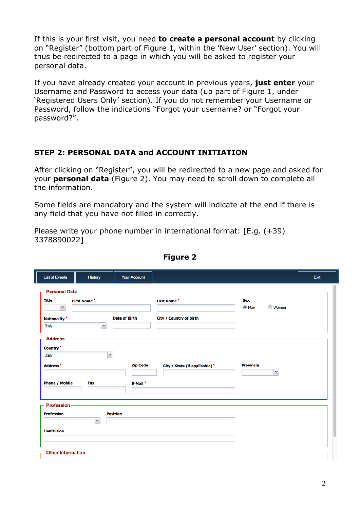If this is your first visit, you need **to create a personal account** by clicking on "Register" (bottom part of Figure 1, within the 'New User' section). You will thus be redirected to a page in which you will be asked to register your personal data.

If you have already created your account in previous years, **just enter** your Username and Password to access your data (up part of Figure 1, under 'Registered Users Only' section). If you do not remember your Username or Password, follow the indications "Forgot your username? or "Forgot your password?".

#### **STEP 2: PERSONAL DATA and ACCOUNT INITIATION**

After clicking on "Register", you will be redirected to a new page and asked for your **personal data** (Figure 2). You may need to scroll down to complete all the information.

Some fields are mandatory and the system will indicate at the end if there is any field that you have not filled in correctly.

Please write your phone number in international format: [E.g. (+39) 3378890022]

| <b>Personal Data</b><br><b>Title</b><br><b>Last Name*</b><br><b>Sex</b><br><b>First Name*</b><br>$\checkmark$<br>O Man<br><b>Women</b><br>City / Country of birth<br><b>Date of Birth</b><br><b>Nationality</b> *<br>×<br>Italy<br><b>Address</b><br>Country <sup>*</sup><br>v<br>Italy<br><b>Zip Code</b><br><b>Provincia</b><br>Address <sup>*</sup><br>City / State (if applicable) *<br>×<br><b>Phone / Mobile</b><br>Fax<br>E-Mail*<br><b>Profession</b><br><b>Profession</b><br><b>Position</b> | <b>List of Events</b> | History      | <b>Your Account</b> |  | Exit |
|-------------------------------------------------------------------------------------------------------------------------------------------------------------------------------------------------------------------------------------------------------------------------------------------------------------------------------------------------------------------------------------------------------------------------------------------------------------------------------------------------------|-----------------------|--------------|---------------------|--|------|
|                                                                                                                                                                                                                                                                                                                                                                                                                                                                                                       |                       |              |                     |  |      |
|                                                                                                                                                                                                                                                                                                                                                                                                                                                                                                       |                       |              |                     |  |      |
| <b>Institution</b>                                                                                                                                                                                                                                                                                                                                                                                                                                                                                    |                       | $\mathbf{v}$ |                     |  |      |

**Figure 2**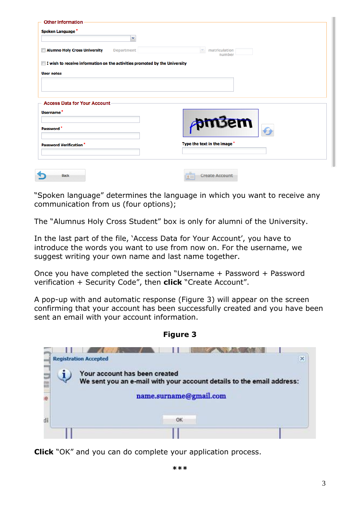| Spoken Language*<br>v                                                      |                                  |
|----------------------------------------------------------------------------|----------------------------------|
| <b>Alumno Holy Cross University</b><br><b>Department</b>                   | $\times$ matriculation<br>number |
| I wish to receive information on the activities promoted by the University |                                  |
| <b>User notes</b>                                                          |                                  |
|                                                                            |                                  |
|                                                                            |                                  |
|                                                                            |                                  |
| <b>Access Data for Your Account</b>                                        |                                  |
| Username <sup>*</sup>                                                      |                                  |
|                                                                            | $\rho$ m3em                      |
|                                                                            | Type the text in the image *     |
| Password <sup>*</sup><br><b>Password Verification*</b>                     |                                  |
|                                                                            |                                  |

"Spoken language" determines the language in which you want to receive any communication from us (four options);

The "Alumnus Holy Cross Student" box is only for alumni of the University.

In the last part of the file, 'Access Data for Your Account', you have to introduce the words you want to use from now on. For the username, we suggest writing your own name and last name together.

Once you have completed the section "Username + Password + Password verification + Security Code", then **click** "Create Account".

A pop-up with and automatic response (Figure 3) will appear on the screen confirming that your account has been successfully created and you have been sent an email with your account information.



**Figure 3**

**Click** "OK" and you can do complete your application process.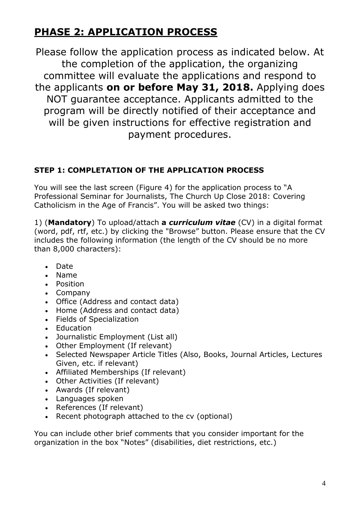## **PHASE 2: APPLICATION PROCESS**

Please follow the application process as indicated below. At the completion of the application, the organizing committee will evaluate the applications and respond to the applicants **on or before May 31, 2018.** Applying does NOT guarantee acceptance. Applicants admitted to the program will be directly notified of their acceptance and will be given instructions for effective registration and payment procedures.

### **STEP 1: COMPLETATION OF THE APPLICATION PROCESS**

You will see the last screen (Figure 4) for the application process to "A Professional Seminar for Journalists, The Church Up Close 2018: Covering Catholicism in the Age of Francis". You will be asked two things:

1) (**Mandatory**) To upload/attach **a** *curriculum vitae* (CV) in a digital format (word, pdf, rtf, etc.) by clicking the "Browse" button. Please ensure that the CV includes the following information (the length of the CV should be no more than 8,000 characters):

- Date
- Name
- Position
- Company
- Office (Address and contact data)
- Home (Address and contact data)
- Fields of Specialization
- Education
- Journalistic Employment (List all)
- Other Employment (If relevant)
- Selected Newspaper Article Titles (Also, Books, Journal Articles, Lectures Given, etc. if relevant)
- Affiliated Memberships (If relevant)
- Other Activities (If relevant)
- Awards (If relevant)
- Languages spoken
- References (If relevant)
- Recent photograph attached to the cv (optional)

You can include other brief comments that you consider important for the organization in the box "Notes" (disabilities, diet restrictions, etc.)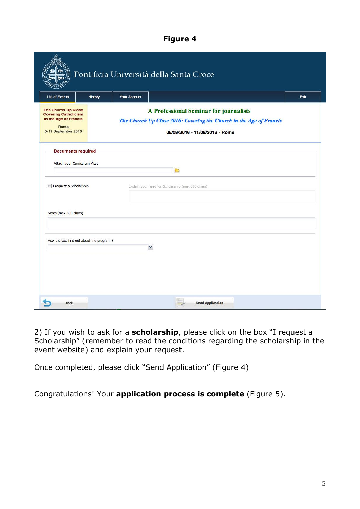#### **Figure 4**

| <b>List of Events</b>                                                                                             | History | <b>Your Account</b> | Pontificia Università della Santa Croce                                                                                                         | Exit |
|-------------------------------------------------------------------------------------------------------------------|---------|---------------------|-------------------------------------------------------------------------------------------------------------------------------------------------|------|
| <b>The Church Up Close</b><br><b>Covering Catholicism</b><br>in the Age of Francis<br>Roma<br>5-11 September 2016 |         |                     | A Professional Seminar for journalists<br>The Church Up Close 2016: Covering the Church in the Age of Francis<br>05/09/2016 - 11/09/2016 - Rome |      |
| <b>Documents required</b><br>Attach your Curriculum Vitae                                                         |         |                     | D                                                                                                                                               |      |
| I request a Scholarship                                                                                           |         |                     | Explain your need for Scholarship (max 300 chars)                                                                                               |      |
| Notes (max 300 chars)                                                                                             |         |                     |                                                                                                                                                 |      |
| How did you find out about the program ?                                                                          |         |                     | v                                                                                                                                               |      |
|                                                                                                                   |         |                     |                                                                                                                                                 |      |

2) If you wish to ask for a **scholarship**, please click on the box "I request a Scholarship" (remember to read the conditions regarding the scholarship in the event website) and explain your request.

Once completed, please click "Send Application" (Figure 4)

Congratulations! Your **application process is complete** (Figure 5).